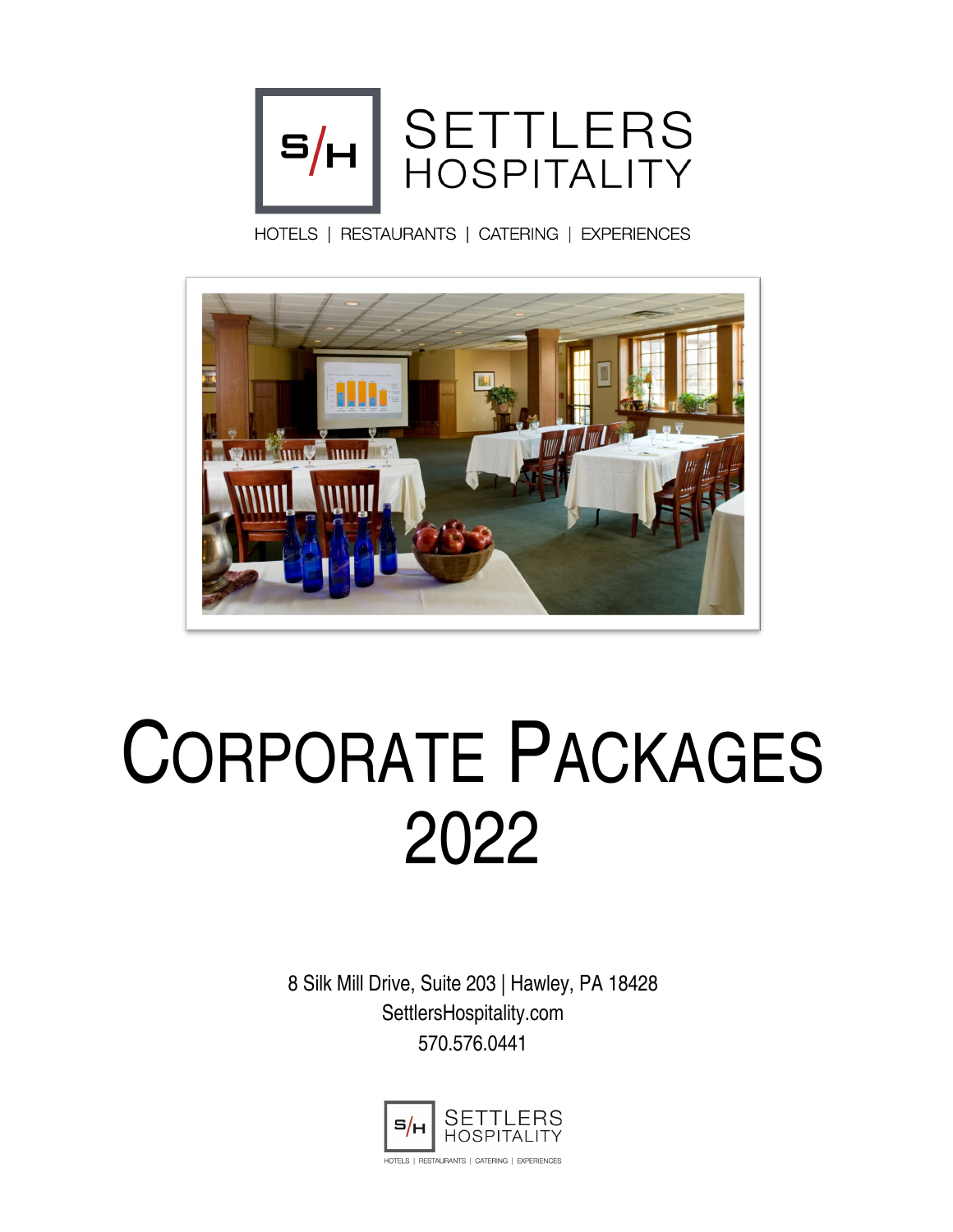

HOTELS | RESTAURANTS | CATERING | EXPERIENCES



# CORPORATE PACKAGES 2022

8 Silk Mill Drive, Suite 203 | Hawley, PA 18428 SettlersHospitality.com 570.576.0441

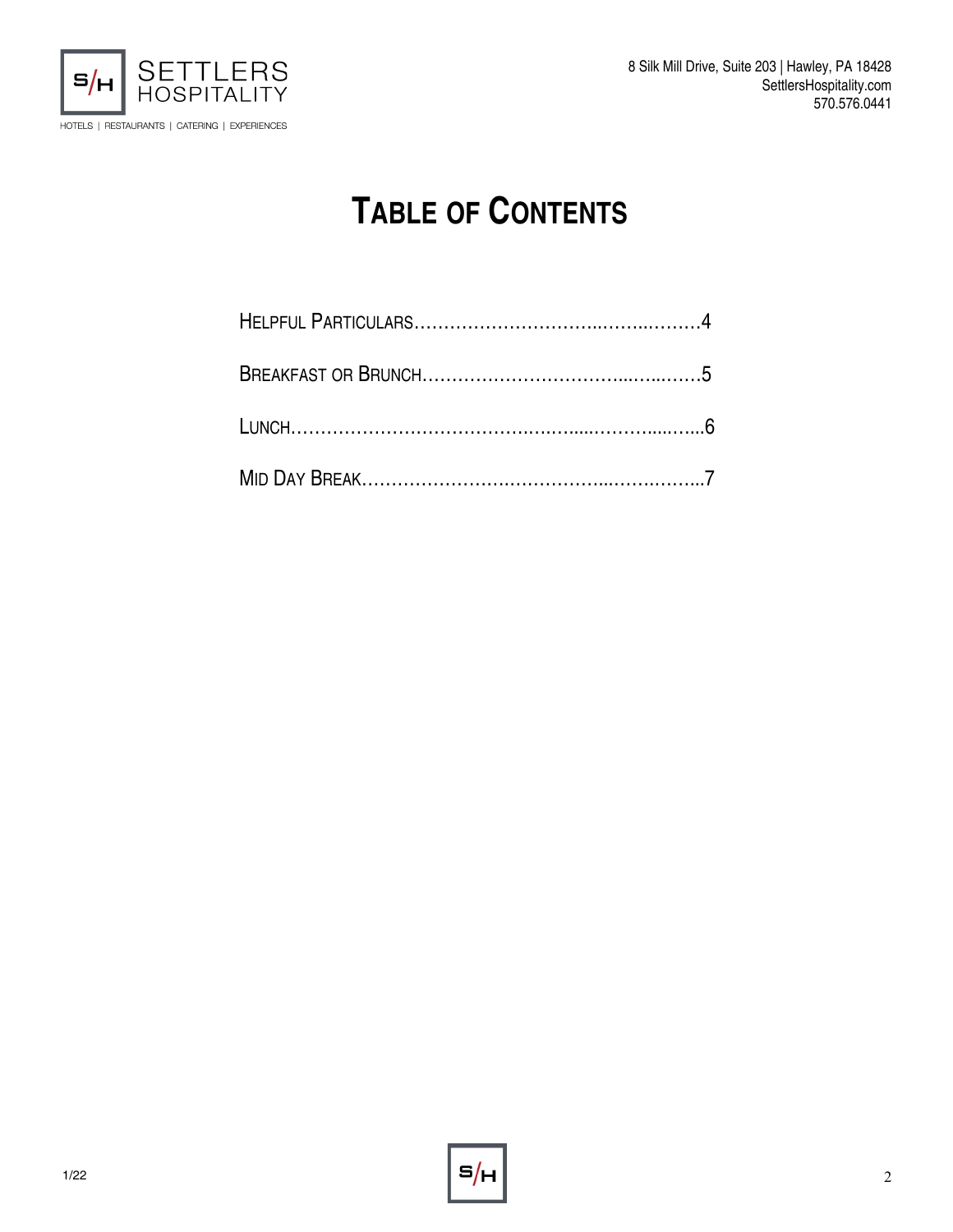

# **TABLE OF CONTENTS**

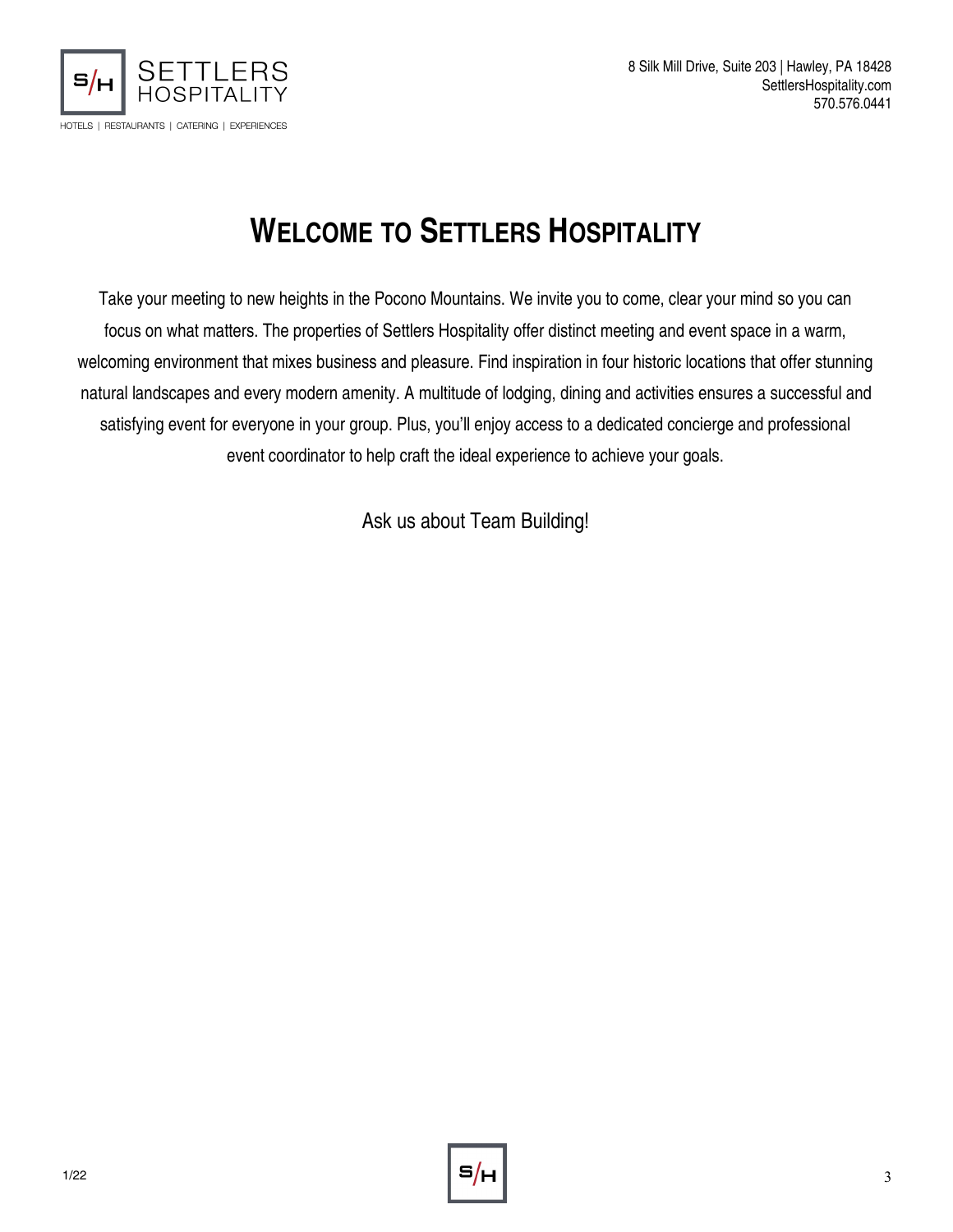

# **WELCOME TO SETTLERS HOSPITALITY**

Take your meeting to new heights in the Pocono Mountains. We invite you to come, clear your mind so you can focus on what matters. The properties of Settlers Hospitality offer distinct meeting and event space in a warm, welcoming environment that mixes business and pleasure. Find inspiration in four historic locations that offer stunning natural landscapes and every modern amenity. A multitude of lodging, dining and activities ensures a successful and satisfying event for everyone in your group. Plus, you'll enjoy access to a dedicated concierge and professional event coordinator to help craft the ideal experience to achieve your goals.

Ask us about Team Building!

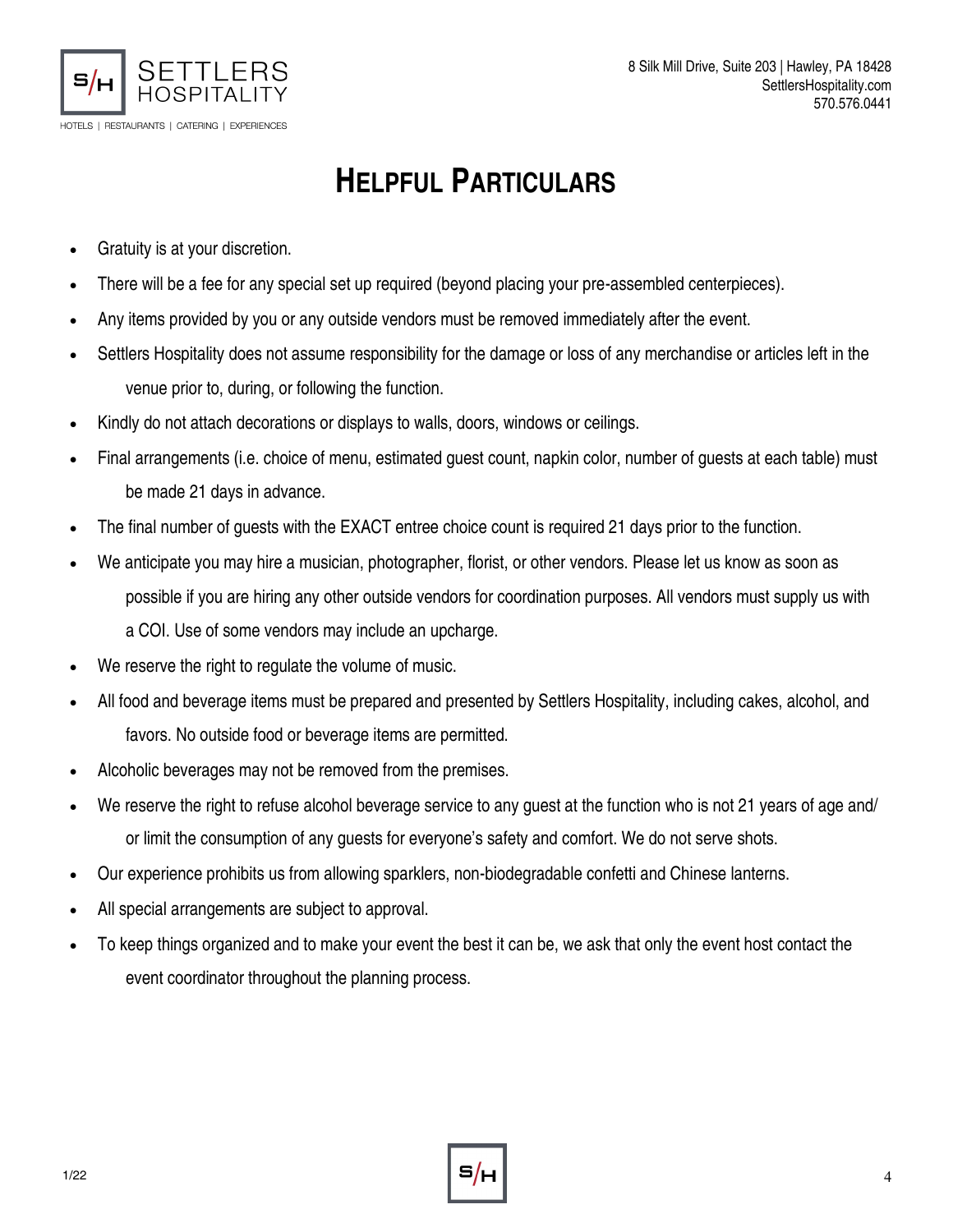

# **HELPFUL PARTICULARS**

- Gratuity is at your discretion.
- There will be a fee for any special set up required (beyond placing your pre-assembled centerpieces).
- Any items provided by you or any outside vendors must be removed immediately after the event.
- Settlers Hospitality does not assume responsibility for the damage or loss of any merchandise or articles left in the venue prior to, during, or following the function.
- Kindly do not attach decorations or displays to walls, doors, windows or ceilings.
- Final arrangements (i.e. choice of menu, estimated guest count, napkin color, number of guests at each table) must be made 21 days in advance.
- The final number of guests with the EXACT entree choice count is required 21 days prior to the function.
- We anticipate you may hire a musician, photographer, florist, or other vendors. Please let us know as soon as possible if you are hiring any other outside vendors for coordination purposes. All vendors must supply us with a COI. Use of some vendors may include an upcharge.
- We reserve the right to regulate the volume of music.
- All food and beverage items must be prepared and presented by Settlers Hospitality, including cakes, alcohol, and favors. No outside food or beverage items are permitted.
- Alcoholic beverages may not be removed from the premises.
- We reserve the right to refuse alcohol beverage service to any guest at the function who is not 21 years of age and/ or limit the consumption of any guests for everyone's safety and comfort. We do not serve shots.
- Our experience prohibits us from allowing sparklers, non-biodegradable confetti and Chinese lanterns.
- All special arrangements are subject to approval.
- To keep things organized and to make your event the best it can be, we ask that only the event host contact the event coordinator throughout the planning process.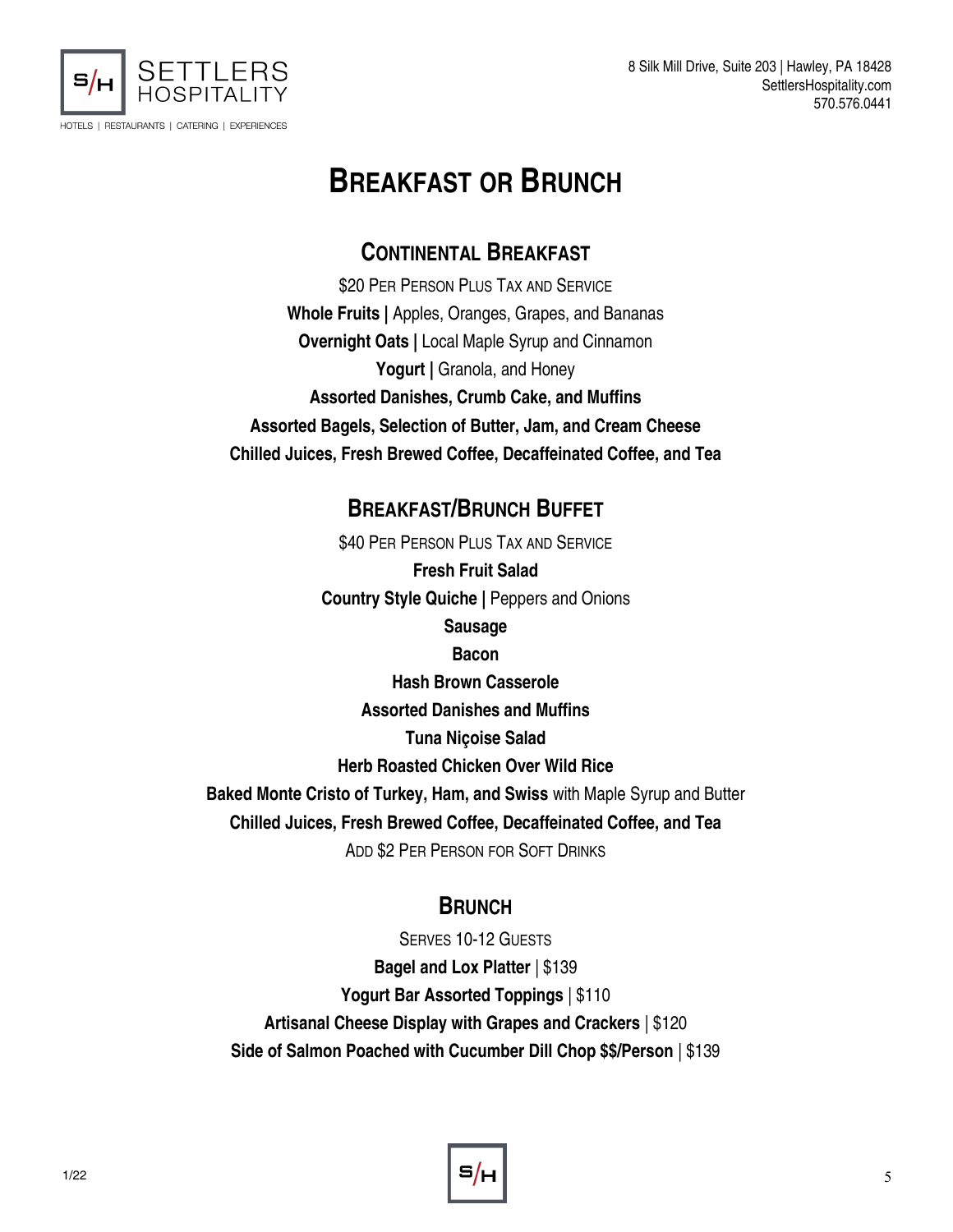

8 Silk Mill Drive, Suite 203 | Hawley, PA 18428 SettlersHospitality.com 570.576.0441

## **BREAKFAST OR BRUNCH**

#### **CONTINENTAL BREAKFAST**

\$20 PER PERSON PLUS TAX AND SERVICE **Whole Fruits |** Apples, Oranges, Grapes, and Bananas **Overnight Oats |** Local Maple Syrup and Cinnamon Yogurt | Granola, and Honey **Assorted Danishes, Crumb Cake, and Muffins Assorted Bagels, Selection of Butter, Jam, and Cream Cheese Chilled Juices, Fresh Brewed Coffee, Decaffeinated Coffee, and Tea**

#### **BREAKFAST/BRUNCH BUFFET**

\$40 PER PERSON PLUS TAX AND SERVICE

**Fresh Fruit Salad Country Style Quiche |** Peppers and Onions **Sausage**

**Bacon** 

**Hash Brown Casserole**

**Assorted Danishes and Muffins**

**Tuna Niçoise Salad**

**Herb Roasted Chicken Over Wild Rice**

**Baked Monte Cristo of Turkey, Ham, and Swiss** with Maple Syrup and Butter **Chilled Juices, Fresh Brewed Coffee, Decaffeinated Coffee, and Tea**

ADD \$2 PER PERSON FOR SOFT DRINKS

#### **BRUNCH**

SERVES 10-12 GUESTS **Bagel and Lox Platter** | \$139 **Yogurt Bar Assorted Toppings** | \$110 **Artisanal Cheese Display with Grapes and Crackers** | \$120 **Side of Salmon Poached with Cucumber Dill Chop \$\$/Person** | \$139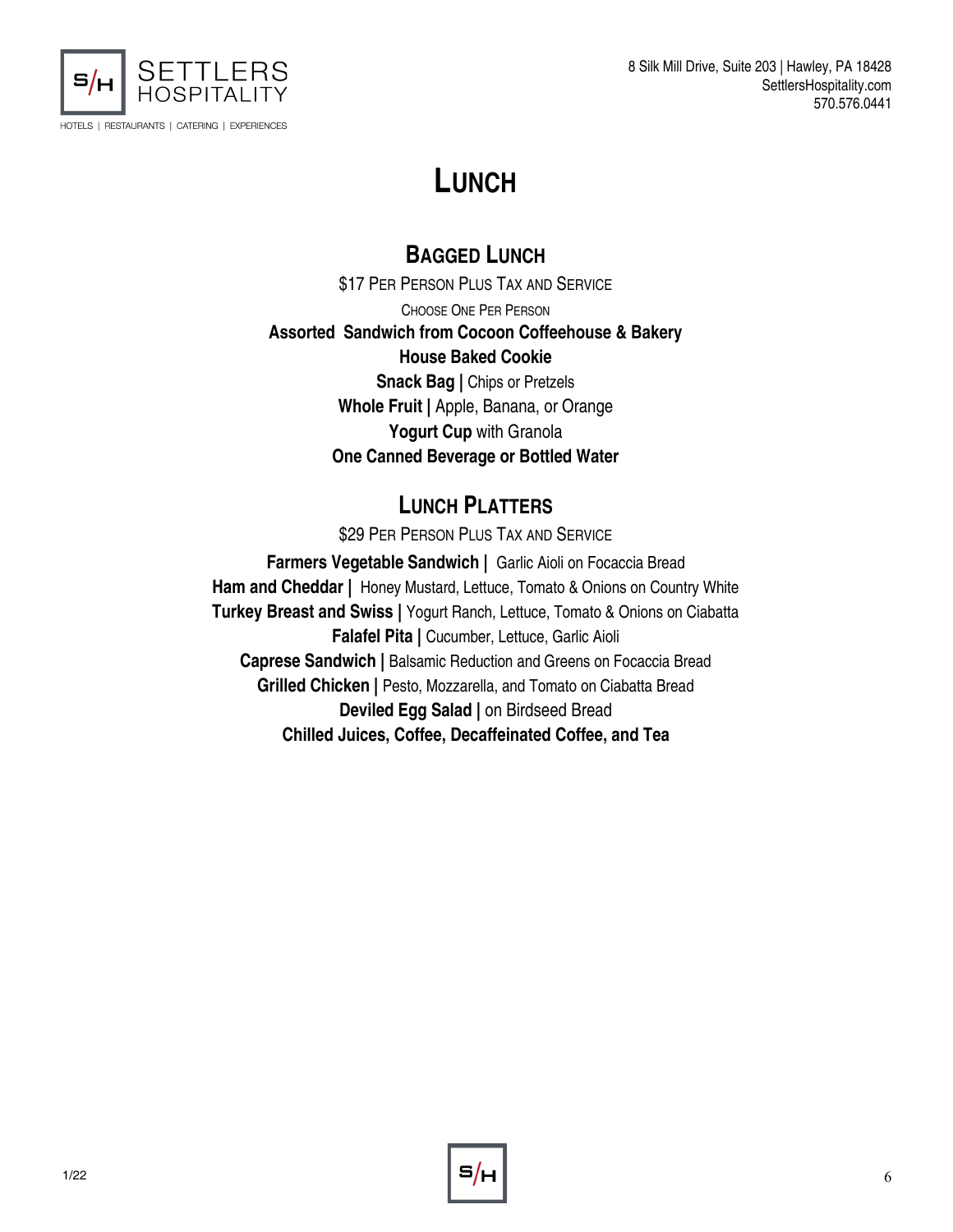

8 Silk Mill Drive, Suite 203 | Hawley, PA 18428 SettlersHospitality.com 570.576.0441

## **LUNCH**

#### **BAGGED LUNCH**

**\$17 PER PERSON PLUS TAX AND SERVICE** CHOOSE ONE PER PERSON **Assorted Sandwich from Cocoon Coffeehouse & Bakery House Baked Cookie Snack Bag | Chips or Pretzels Whole Fruit |** Apple, Banana, or Orange **Yogurt Cup** with Granola **One Canned Beverage or Bottled Water**

#### **LUNCH PLATTERS**

\$29 PER PERSON PLUS TAX AND SERVICE

**Farmers Vegetable Sandwich |** Garlic Aioli on Focaccia Bread **Ham and Cheddar |** Honey Mustard, Lettuce, Tomato & Onions on Country White **Turkey Breast and Swiss |** Yogurt Ranch, Lettuce, Tomato & Onions on Ciabatta **Falafel Pita |** Cucumber, Lettuce, Garlic Aioli **Caprese Sandwich |** Balsamic Reduction and Greens on Focaccia Bread Grilled Chicken | Pesto, Mozzarella, and Tomato on Ciabatta Bread **Deviled Egg Salad |** on Birdseed Bread **Chilled Juices, Coffee, Decaffeinated Coffee, and Tea**